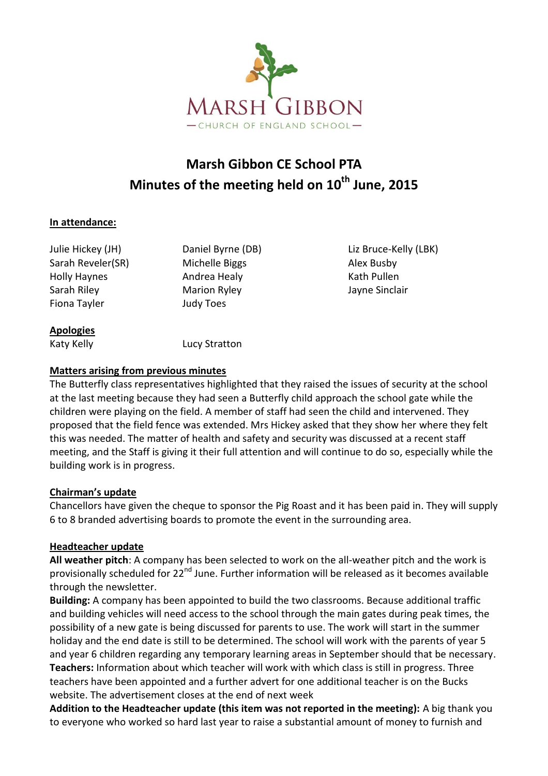

# **Marsh Gibbon CE School PTA Minutes of the meeting held on 10th June, 2015**

#### **In attendance:**

Sarah Reveler(SR) Michelle Biggs Alex Busby Holly Haynes **Andrea Healy** Math Pullen Sarah Riley Marion Ryley Jayne Sinclair Fiona Tayler **Judy Toes** 

Julie Hickey (JH) Daniel Byrne (DB) Liz Bruce-Kelly (LBK)

**Apologies**

Katy Kelly **Lucy Stratton** 

#### **Matters arising from previous minutes**

The Butterfly class representatives highlighted that they raised the issues of security at the school at the last meeting because they had seen a Butterfly child approach the school gate while the children were playing on the field. A member of staff had seen the child and intervened. They proposed that the field fence was extended. Mrs Hickey asked that they show her where they felt this was needed. The matter of health and safety and security was discussed at a recent staff meeting, and the Staff is giving it their full attention and will continue to do so, especially while the building work is in progress.

#### **Chairman's update**

Chancellors have given the cheque to sponsor the Pig Roast and it has been paid in. They will supply 6 to 8 branded advertising boards to promote the event in the surrounding area.

#### **Headteacher update**

**All weather pitch**: A company has been selected to work on the all-weather pitch and the work is provisionally scheduled for 22<sup>nd</sup> June. Further information will be released as it becomes available through the newsletter.

**Building:** A company has been appointed to build the two classrooms. Because additional traffic and building vehicles will need access to the school through the main gates during peak times, the possibility of a new gate is being discussed for parents to use. The work will start in the summer holiday and the end date is still to be determined. The school will work with the parents of year 5 and year 6 children regarding any temporary learning areas in September should that be necessary. **Teachers:** Information about which teacher will work with which class is still in progress. Three teachers have been appointed and a further advert for one additional teacher is on the Bucks website. The advertisement closes at the end of next week

**Addition to the Headteacher update (this item was not reported in the meeting):** A big thank you to everyone who worked so hard last year to raise a substantial amount of money to furnish and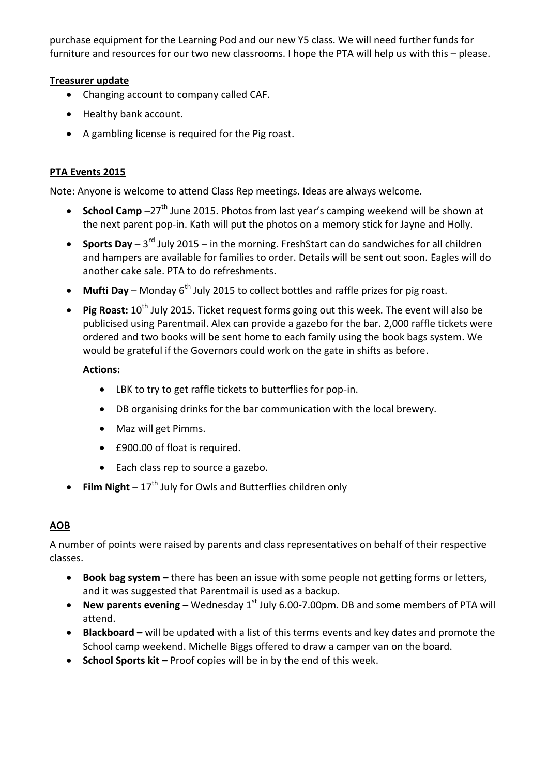purchase equipment for the Learning Pod and our new Y5 class. We will need further funds for furniture and resources for our two new classrooms. I hope the PTA will help us with this – please.

#### **Treasurer update**

- Changing account to company called CAF.
- Healthy bank account.
- A gambling license is required for the Pig roast.

### **PTA Events 2015**

Note: Anyone is welcome to attend Class Rep meetings. Ideas are always welcome.

- **School Camp** –27<sup>th</sup> June 2015. Photos from last year's camping weekend will be shown at the next parent pop-in. Kath will put the photos on a memory stick for Jayne and Holly.
- Sports Day 3<sup>rd</sup> July 2015 in the morning. FreshStart can do sandwiches for all children and hampers are available for families to order. Details will be sent out soon. Eagles will do another cake sale. PTA to do refreshments.
- **Mufti Day** Monday 6<sup>th</sup> July 2015 to collect bottles and raffle prizes for pig roast.
- **Pig Roast:**  $10^{th}$  July 2015. Ticket request forms going out this week. The event will also be publicised using Parentmail. Alex can provide a gazebo for the bar. 2,000 raffle tickets were ordered and two books will be sent home to each family using the book bags system. We would be grateful if the Governors could work on the gate in shifts as before.

#### **Actions:**

- LBK to try to get raffle tickets to butterflies for pop-in.
- DB organising drinks for the bar communication with the local brewery.
- Maz will get Pimms.
- £900.00 of float is required.
- Each class rep to source a gazebo.
- **Film Night**  $17<sup>th</sup>$  July for Owls and Butterflies children only

## **AOB**

A number of points were raised by parents and class representatives on behalf of their respective classes.

- **Book bag system –** there has been an issue with some people not getting forms or letters, and it was suggested that Parentmail is used as a backup.
- New parents evening Wednesday 1<sup>st</sup> July 6.00-7.00pm. DB and some members of PTA will attend.
- **Blackboard –** will be updated with a list of this terms events and key dates and promote the School camp weekend. Michelle Biggs offered to draw a camper van on the board.
- **School Sports kit –** Proof copies will be in by the end of this week.